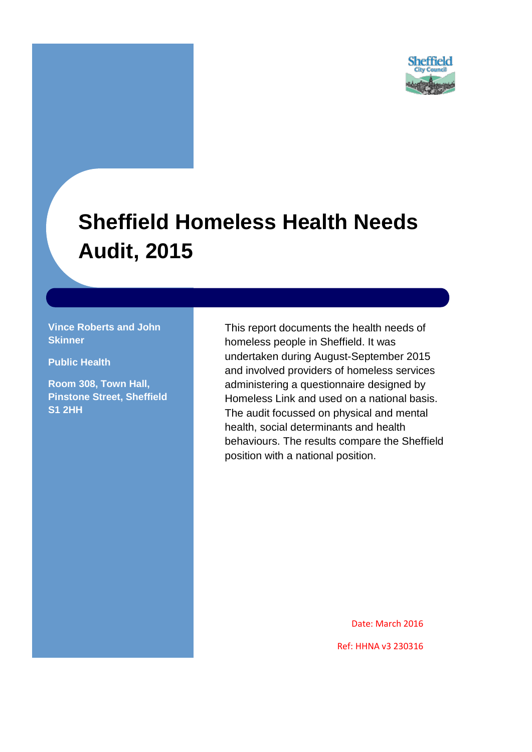

# **Sheffield Homeless Health Needs Audit, 2015**

**Vince Roberts and John Skinner**

**Public Health**

**Room 308, Town Hall, Pinstone Street, Sheffield S1 2HH** 

This report documents the health needs of homeless people in Sheffield. It was undertaken during August-September 2015 and involved providers of homeless services administering a questionnaire designed by Homeless Link and used on a national basis. The audit focussed on physical and mental health, social determinants and health behaviours. The results compare the Sheffield position with a national position.

Date: March 2016

Ref: HHNA v3 230316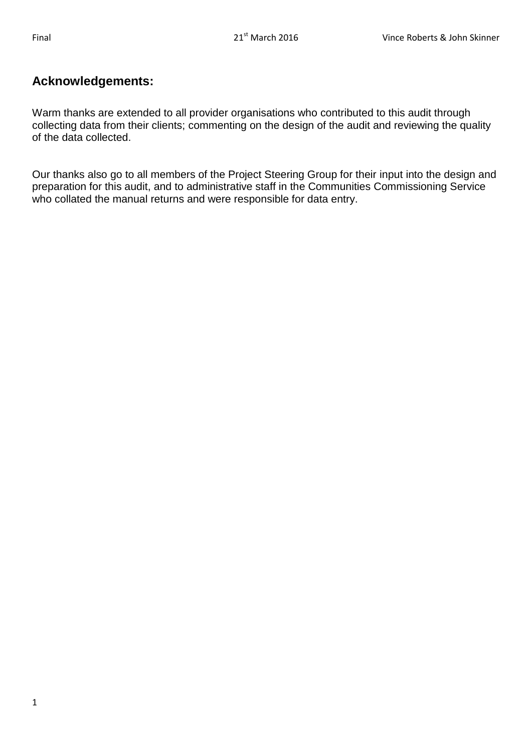#### **Acknowledgements:**

Warm thanks are extended to all provider organisations who contributed to this audit through collecting data from their clients; commenting on the design of the audit and reviewing the quality of the data collected.

Our thanks also go to all members of the Project Steering Group for their input into the design and preparation for this audit, and to administrative staff in the Communities Commissioning Service who collated the manual returns and were responsible for data entry.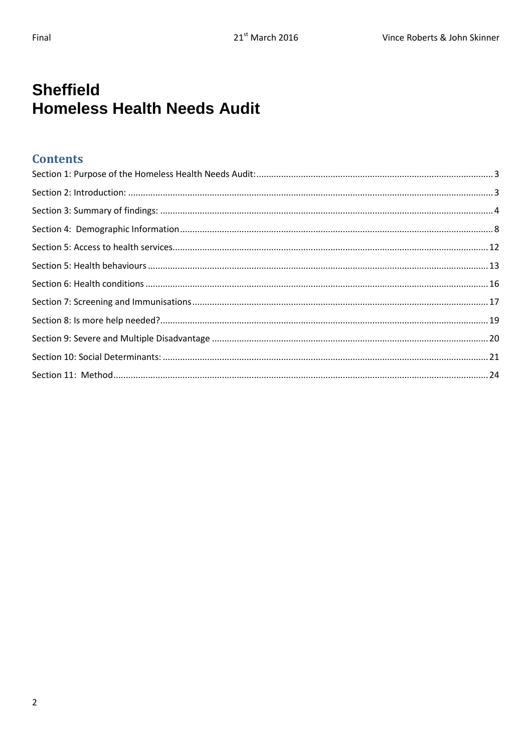# **Sheffield Homeless Health Needs Audit**

#### **Contents**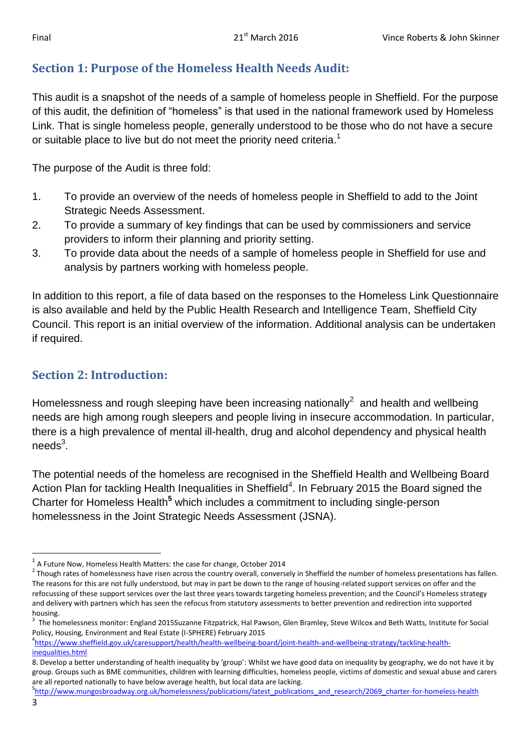### <span id="page-3-0"></span>**Section 1: Purpose of the Homeless Health Needs Audit:**

This audit is a snapshot of the needs of a sample of homeless people in Sheffield. For the purpose of this audit, the definition of "homeless" is that used in the national framework used by Homeless Link. That is single homeless people, generally understood to be those who do not have a secure or suitable place to live but do not meet the priority need criteria.<sup>1</sup>

The purpose of the Audit is three fold:

- 1. To provide an overview of the needs of homeless people in Sheffield to add to the Joint Strategic Needs Assessment.
- 2. To provide a summary of key findings that can be used by commissioners and service providers to inform their planning and priority setting.
- 3. To provide data about the needs of a sample of homeless people in Sheffield for use and analysis by partners working with homeless people.

In addition to this report, a file of data based on the responses to the Homeless Link Questionnaire is also available and held by the Public Health Research and Intelligence Team, Sheffield City Council. This report is an initial overview of the information. Additional analysis can be undertaken if required.

#### <span id="page-3-1"></span>**Section 2: Introduction:**

Homelessness and rough sleeping have been increasing nationally<sup>2</sup> and health and wellbeing needs are high among rough sleepers and people living in insecure accommodation. In particular, there is a high prevalence of mental ill-health, drug and alcohol dependency and physical health needs $^3$ .

The potential needs of the homeless are recognised in the Sheffield Health and Wellbeing Board Action Plan for tackling Health Inequalities in Sheffield<sup>4</sup>. In February 2015 the Board signed the Charter for Homeless Health**<sup>5</sup>** which includes a commitment to including single-person homelessness in the Joint Strategic Needs Assessment (JSNA).

**.** 

 $<sup>1</sup>$  A Future Now, Homeless Health Matters: the case for change, October 2014</sup>

 $^2$  Though rates of homelessness have risen across the country overall, conversely in Sheffield the number of homeless presentations has fallen. The reasons for this are not fully understood, but may in part be down to the range of housing-related support services on offer and the refocussing of these support services over the last three years towards targeting homeless prevention; and the Council's Homeless strategy and delivery with partners which has seen the refocus from statutory assessments to better prevention and redirection into supported housing.

<sup>3</sup> The homelessness monitor: England 2015Suzanne Fitzpatrick, Hal Pawson, Glen Bramley, Steve Wilcox and Beth Watts, Institute for Social Policy, Housing, Environment and Real Estate (I-SPHERE) February 2015

<sup>4</sup> [https://www.sheffield.gov.uk/caresupport/health/health-wellbeing-board/joint-health-and-wellbeing-strategy/tackling-health](https://www.sheffield.gov.uk/caresupport/health/health-wellbeing-board/joint-health-and-wellbeing-strategy/tackling-health-inequalities.html)[inequalities.html](https://www.sheffield.gov.uk/caresupport/health/health-wellbeing-board/joint-health-and-wellbeing-strategy/tackling-health-inequalities.html)

<sup>8.</sup> Develop a better understanding of health inequality by 'group': Whilst we have good data on inequality by geography, we do not have it by group. Groups such as BME communities, children with learning difficulties, homeless people, victims of domestic and sexual abuse and carers are all reported nationally to have below average health, but local data are lacking.

<sup>&</sup>lt;sup>5</sup>[http://www.mungosbroadway.org.uk/homelessness/publications/latest\\_publications\\_and\\_research/2069\\_charter-for-homeless-health](http://www.mungosbroadway.org.uk/homelessness/publications/latest_publications_and_research/2069_charter-for-homeless-health)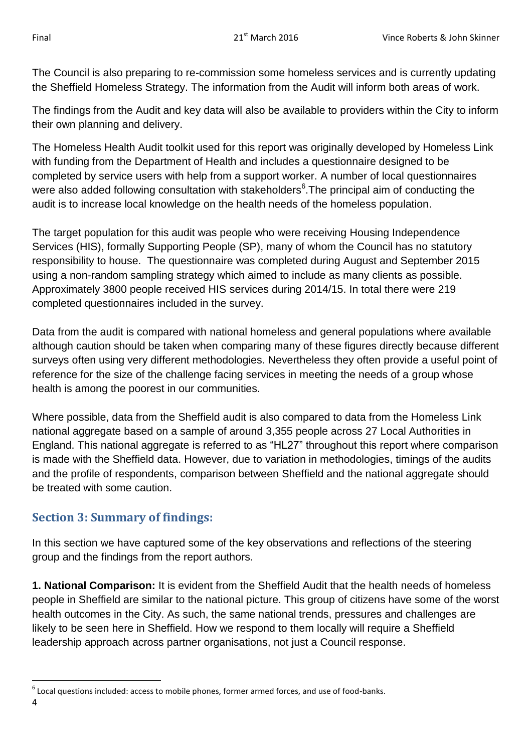The Council is also preparing to re-commission some homeless services and is currently updating the Sheffield Homeless Strategy. The information from the Audit will inform both areas of work.

The findings from the Audit and key data will also be available to providers within the City to inform their own planning and delivery.

The Homeless Health Audit toolkit used for this report was originally developed by Homeless Link with funding from the Department of Health and includes a questionnaire designed to be completed by service users with help from a support worker. A number of local questionnaires were also added following consultation with stakeholders<sup>6</sup>. The principal aim of conducting the audit is to increase local knowledge on the health needs of the homeless population.

The target population for this audit was people who were receiving Housing Independence Services (HIS), formally Supporting People (SP), many of whom the Council has no statutory responsibility to house. The questionnaire was completed during August and September 2015 using a non-random sampling strategy which aimed to include as many clients as possible. Approximately 3800 people received HIS services during 2014/15. In total there were 219 completed questionnaires included in the survey.

Data from the audit is compared with national homeless and general populations where available although caution should be taken when comparing many of these figures directly because different surveys often using very different methodologies. Nevertheless they often provide a useful point of reference for the size of the challenge facing services in meeting the needs of a group whose health is among the poorest in our communities.

Where possible, data from the Sheffield audit is also compared to data from the Homeless Link national aggregate based on a sample of around 3,355 people across 27 Local Authorities in England. This national aggregate is referred to as "HL27" throughout this report where comparison is made with the Sheffield data. However, due to variation in methodologies, timings of the audits and the profile of respondents, comparison between Sheffield and the national aggregate should be treated with some caution.

### <span id="page-4-0"></span>**Section 3: Summary of findings:**

In this section we have captured some of the key observations and reflections of the steering group and the findings from the report authors.

**1. National Comparison:** It is evident from the Sheffield Audit that the health needs of homeless people in Sheffield are similar to the national picture. This group of citizens have some of the worst health outcomes in the City. As such, the same national trends, pressures and challenges are likely to be seen here in Sheffield. How we respond to them locally will require a Sheffield leadership approach across partner organisations, not just a Council response.

**.** 

 $<sup>6</sup>$  Local questions included: access to mobile phones, former armed forces, and use of food-banks.</sup>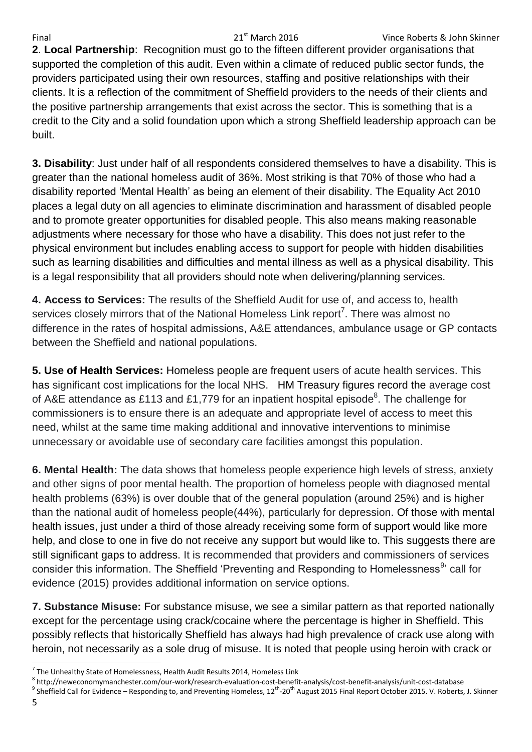**2**. **Local Partnership**: Recognition must go to the fifteen different provider organisations that supported the completion of this audit. Even within a climate of reduced public sector funds, the providers participated using their own resources, staffing and positive relationships with their clients. It is a reflection of the commitment of Sheffield providers to the needs of their clients and the positive partnership arrangements that exist across the sector. This is something that is a credit to the City and a solid foundation upon which a strong Sheffield leadership approach can be built.

**3. Disability**: Just under half of all respondents considered themselves to have a disability. This is greater than the national homeless audit of 36%. Most striking is that 70% of those who had a disability reported 'Mental Health' as being an element of their disability. The Equality Act 2010 places a legal duty on all agencies to eliminate discrimination and harassment of disabled people and to promote greater opportunities for disabled people. This also means making reasonable adjustments where necessary for those who have a disability. This does not just refer to the physical environment but includes enabling access to support for people with hidden disabilities such as learning disabilities and difficulties and mental illness as well as a physical disability. This is a legal responsibility that all providers should note when delivering/planning services.

**4. Access to Services:** The results of the Sheffield Audit for use of, and access to, health services closely mirrors that of the National Homeless Link report<sup>7</sup>. There was almost no difference in the rates of hospital admissions, A&E attendances, ambulance usage or GP contacts between the Sheffield and national populations.

**5. Use of Health Services:** Homeless people are frequent users of acute health services. This has significant cost implications for the local NHS. HM Treasury figures record the average cost of A&E attendance as £113 and £1,779 for an inpatient hospital episode<sup>8</sup>. The challenge for commissioners is to ensure there is an adequate and appropriate level of access to meet this need, whilst at the same time making additional and innovative interventions to minimise unnecessary or avoidable use of secondary care facilities amongst this population.

**6. Mental Health:** The data shows that homeless people experience high levels of stress, anxiety and other signs of poor mental health. The proportion of homeless people with diagnosed mental health problems (63%) is over double that of the general population (around 25%) and is higher than the national audit of homeless people(44%), particularly for depression. Of those with mental health issues, just under a third of those already receiving some form of support would like more help, and close to one in five do not receive any support but would like to. This suggests there are still significant gaps to address. It is recommended that providers and commissioners of services consider this information. The Sheffield 'Preventing and Responding to Homelessness<sup>9</sup>' call for evidence (2015) provides additional information on service options.

**7. Substance Misuse:** For substance misuse, we see a similar pattern as that reported nationally except for the percentage using crack/cocaine where the percentage is higher in Sheffield. This possibly reflects that historically Sheffield has always had high prevalence of crack use along with heroin, not necessarily as a sole drug of misuse. It is noted that people using heroin with crack or

 7 The Unhealthy State of Homelessness, Health Audit Results 2014, Homeless Link

<sup>8</sup> http://neweconomymanchester.com/our-work/research-evaluation-cost-benefit-analysis/cost-benefit-analysis/unit-cost-database

 $^9$  Sheffield Call for Evidence – Responding to, and Preventing Homeless, 12<sup>th</sup>-20<sup>th</sup> August 2015 Final Report October 2015. V. Roberts, J. Skinner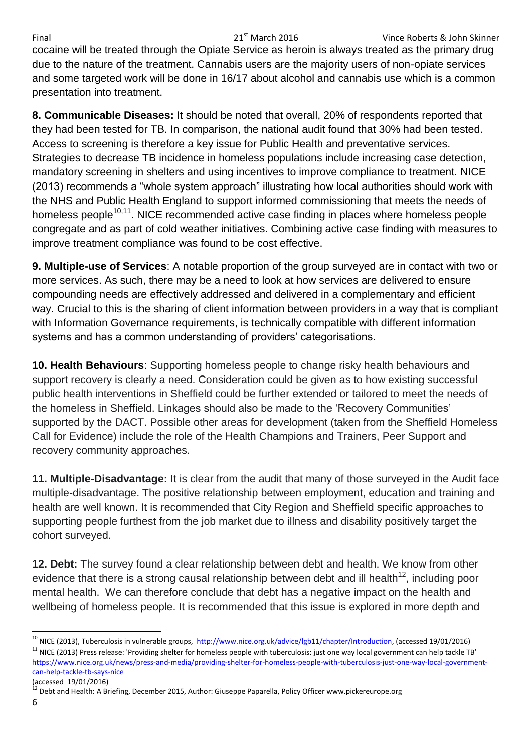cocaine will be treated through the Opiate Service as heroin is always treated as the primary drug due to the nature of the treatment. Cannabis users are the majority users of non-opiate services and some targeted work will be done in 16/17 about alcohol and cannabis use which is a common presentation into treatment.

**8. Communicable Diseases:** It should be noted that overall, 20% of respondents reported that they had been tested for TB. In comparison, the national audit found that 30% had been tested. Access to screening is therefore a key issue for Public Health and preventative services. Strategies to decrease TB incidence in homeless populations include increasing case detection, mandatory screening in shelters and using incentives to improve compliance to treatment. NICE (2013) recommends a "whole system approach" illustrating how local authorities should work with the NHS and Public Health England to support informed commissioning that meets the needs of homeless people<sup>10,11</sup>. NICE recommended active case finding in places where homeless people congregate and as part of cold weather initiatives. Combining active case finding with measures to improve treatment compliance was found to be cost effective.

**9. Multiple-use of Services**: A notable proportion of the group surveyed are in contact with two or more services. As such, there may be a need to look at how services are delivered to ensure compounding needs are effectively addressed and delivered in a complementary and efficient way. Crucial to this is the sharing of client information between providers in a way that is compliant with Information Governance requirements, is technically compatible with different information systems and has a common understanding of providers' categorisations.

**10. Health Behaviours**: Supporting homeless people to change risky health behaviours and support recovery is clearly a need. Consideration could be given as to how existing successful public health interventions in Sheffield could be further extended or tailored to meet the needs of the homeless in Sheffield. Linkages should also be made to the 'Recovery Communities' supported by the DACT. Possible other areas for development (taken from the Sheffield Homeless Call for Evidence) include the role of the Health Champions and Trainers, Peer Support and recovery community approaches.

**11. Multiple-Disadvantage:** It is clear from the audit that many of those surveyed in the Audit face multiple-disadvantage. The positive relationship between employment, education and training and health are well known. It is recommended that City Region and Sheffield specific approaches to supporting people furthest from the job market due to illness and disability positively target the cohort surveyed.

**12. Debt:** The survey found a clear relationship between debt and health. We know from other evidence that there is a strong causal relationship between debt and ill health<sup>12</sup>, including poor mental health. We can therefore conclude that debt has a negative impact on the health and wellbeing of homeless people. It is recommended that this issue is explored in more depth and

 $11$  NICE (2013) Press release: 'Providing shelter for homeless people with tuberculosis: just one way local government can help tackle TB' [https://www.nice.org.uk/news/press-and-media/providing-shelter-for-homeless-people-with-tuberculosis-just-one-way-local-government](https://www.nice.org.uk/news/press-and-media/providing-shelter-for-homeless-people-with-tuberculosis-just-one-way-local-government-can-help-tackle-tb-says-nice)[can-help-tackle-tb-says-nice](https://www.nice.org.uk/news/press-and-media/providing-shelter-for-homeless-people-with-tuberculosis-just-one-way-local-government-can-help-tackle-tb-says-nice)

<sup>1</sup> <sup>10</sup> NICE (2013), Tuberculosis in vulnerable groups, [http://www.nice.org.uk/advice/lgb11/chapter/Introduction,](http://www.nice.org.uk/advice/lgb11/chapter/Introduction) (accessed 19/01/2016)

<sup>(</sup>accessed 19/01/2016)

<sup>&</sup>lt;sup>12</sup> Debt and Health: A Briefing, December 2015, Author: Giuseppe Paparella, Policy Officer www.pickereurope.org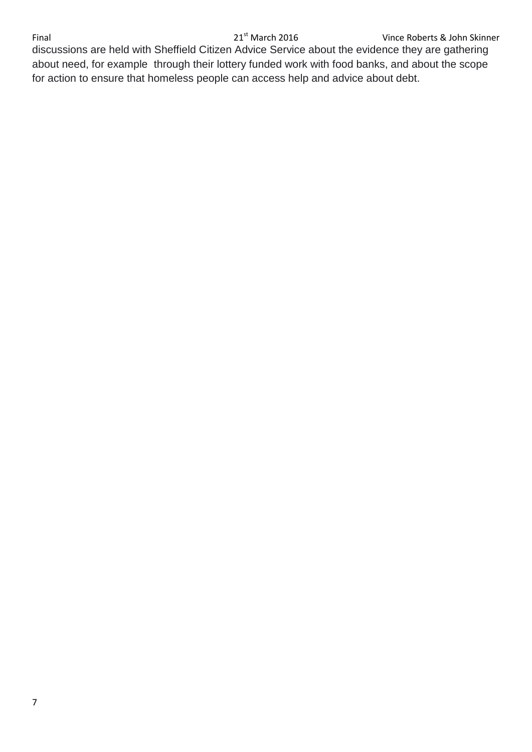Final 21<sup>st</sup> March 2016 Vince Roberts & John Skinner

discussions are held with Sheffield Citizen Advice Service about the evidence they are gathering about need, for example through their lottery funded work with food banks, and about the scope for action to ensure that homeless people can access help and advice about debt.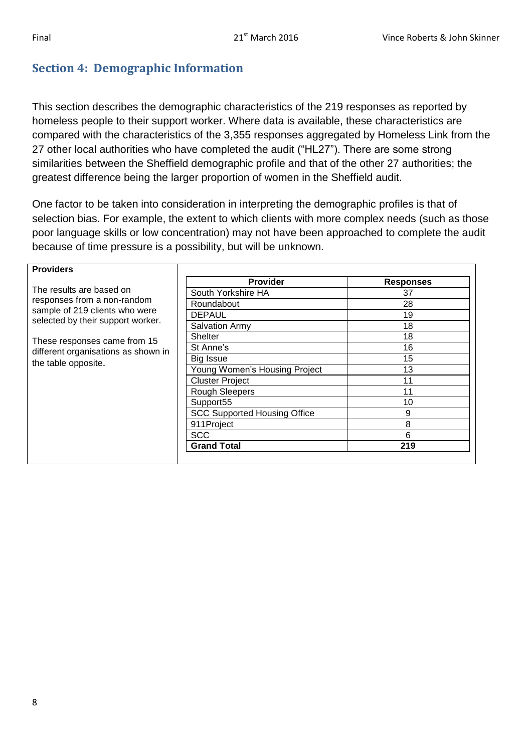### <span id="page-8-0"></span>**Section 4: Demographic Information**

This section describes the demographic characteristics of the 219 responses as reported by homeless people to their support worker. Where data is available, these characteristics are compared with the characteristics of the 3,355 responses aggregated by Homeless Link from the 27 other local authorities who have completed the audit ("HL27"). There are some strong similarities between the Sheffield demographic profile and that of the other 27 authorities; the greatest difference being the larger proportion of women in the Sheffield audit.

One factor to be taken into consideration in interpreting the demographic profiles is that of selection bias. For example, the extent to which clients with more complex needs (such as those poor language skills or low concentration) may not have been approached to complete the audit because of time pressure is a possibility, but will be unknown.

| <b>Providers</b>                    |                                     |                  |  |  |
|-------------------------------------|-------------------------------------|------------------|--|--|
|                                     | <b>Provider</b>                     | <b>Responses</b> |  |  |
| The results are based on            | South Yorkshire HA                  | 37               |  |  |
| responses from a non-random         | Roundabout                          | 28               |  |  |
| sample of 219 clients who were      | <b>DEPAUL</b>                       | 19               |  |  |
| selected by their support worker.   | Salvation Army                      | 18               |  |  |
| These responses came from 15        | <b>Shelter</b>                      | 18               |  |  |
| different organisations as shown in | St Anne's                           | 16               |  |  |
| the table opposite.                 | Big Issue                           | 15               |  |  |
|                                     | Young Women's Housing Project       | 13               |  |  |
|                                     | <b>Cluster Project</b>              | 11               |  |  |
|                                     | <b>Rough Sleepers</b>               | 11               |  |  |
|                                     | Support55                           | 10               |  |  |
|                                     | <b>SCC Supported Housing Office</b> | 9                |  |  |
|                                     | 911Project                          | 8                |  |  |
|                                     | <b>SCC</b>                          | 6                |  |  |
|                                     | <b>Grand Total</b>                  | 219              |  |  |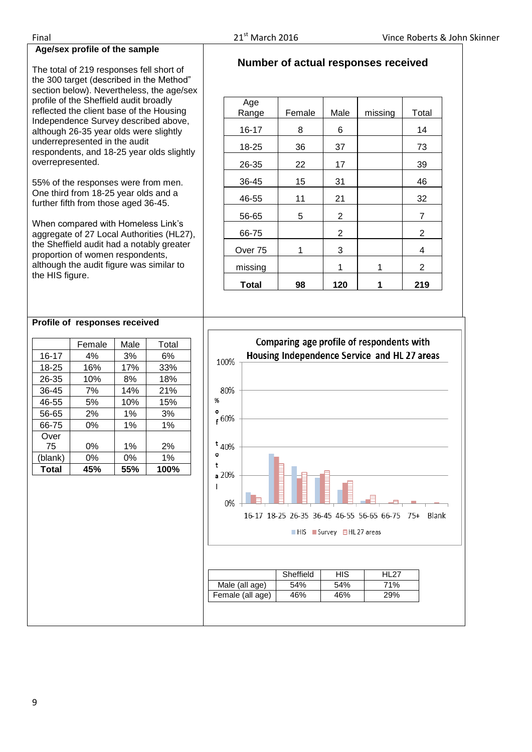|                  | The total of 219 responses fell short of<br>the 300 target (described in the Method" |            | section below). Nevertheless, the age/sex |            |                  | Number of actual responses received                                                       |                                                                     |             |                |
|------------------|--------------------------------------------------------------------------------------|------------|-------------------------------------------|------------|------------------|-------------------------------------------------------------------------------------------|---------------------------------------------------------------------|-------------|----------------|
|                  | profile of the Sheffield audit broadly<br>reflected the client base of the Housing   |            |                                           |            | Age<br>Range     | Female                                                                                    | Male                                                                | missing     | Total          |
|                  | Independence Survey described above,<br>although 26-35 year olds were slightly       |            |                                           |            | $16 - 17$        | 8                                                                                         | 6                                                                   |             | 14             |
|                  | underrepresented in the audit                                                        |            | respondents, and 18-25 year olds slightly |            | 18-25            | 36                                                                                        | 37                                                                  |             | 73             |
| overrepresented. |                                                                                      |            |                                           |            | 26-35            | 22                                                                                        | 17                                                                  |             | 39             |
|                  | 55% of the responses were from men.                                                  |            |                                           |            | 36-45            | 15                                                                                        | 31                                                                  |             | 46             |
|                  | One third from 18-25 year olds and a<br>further fifth from those aged 36-45.         |            |                                           |            | 46-55            | 11                                                                                        | 21                                                                  |             | 32             |
|                  |                                                                                      |            |                                           |            | 56-65            | 5                                                                                         | $\overline{2}$                                                      |             | $\overline{7}$ |
|                  | When compared with Homeless Link's                                                   |            | aggregate of 27 Local Authorities (HL27), |            | 66-75            |                                                                                           | $\overline{2}$                                                      |             | $\overline{2}$ |
|                  | the Sheffield audit had a notably greater                                            |            |                                           |            | Over 75          | 1                                                                                         | 3                                                                   |             | 4              |
|                  | proportion of women respondents,<br>although the audit figure was similar to         |            |                                           |            | missing          |                                                                                           | 1                                                                   | 1           | $\overline{2}$ |
| the HIS figure.  |                                                                                      |            |                                           |            | <b>Total</b>     | 98                                                                                        | 120                                                                 | 1           | 219            |
|                  |                                                                                      |            |                                           |            |                  |                                                                                           |                                                                     |             |                |
| $16 - 17$        | Female<br>4%                                                                         | Male<br>3% | Total<br>6%                               |            | 100%             | Comparing age profile of respondents with<br>Housing Independence Service and HL 27 areas |                                                                     |             |                |
| 18-25            | 16%                                                                                  | 17%        | 33%                                       |            |                  |                                                                                           |                                                                     |             |                |
| 26-35            | 10%                                                                                  | 8%         | 18%                                       |            |                  |                                                                                           |                                                                     |             |                |
| 36-45            | 7%                                                                                   | 14%        | 21%                                       |            | 80%              |                                                                                           |                                                                     |             |                |
| 46-55            | 5%                                                                                   | 10%        | 15%                                       | $\%$       |                  |                                                                                           |                                                                     |             |                |
| 56-65            | 2%                                                                                   | 1%         | 3%                                        | ۰<br>.60%  |                  |                                                                                           |                                                                     |             |                |
| 66-75            | 0%                                                                                   | 1%         | 1%                                        |            |                  |                                                                                           |                                                                     |             |                |
| Over<br>75       | 0%                                                                                   | 1%         | 2%                                        | $*_{40\%}$ |                  |                                                                                           |                                                                     |             |                |
| (blank)          | $0\%$                                                                                | $0\%$      | 1%                                        | o          |                  |                                                                                           |                                                                     |             |                |
| <b>Total</b>     | 45%                                                                                  | 55%        | 100%                                      | t          |                  |                                                                                           |                                                                     |             |                |
|                  |                                                                                      |            |                                           | a 20%<br>L | 0%               |                                                                                           |                                                                     |             |                |
|                  |                                                                                      |            |                                           |            |                  | 16-17 18-25 26-35 36-45 46-55 56-65 66-75 75+                                             |                                                                     |             | Blank          |
|                  |                                                                                      |            |                                           |            |                  |                                                                                           | $\blacksquare$ HIS $\blacksquare$ Survey $\blacksquare$ HL 27 areas |             |                |
|                  |                                                                                      |            |                                           |            |                  |                                                                                           |                                                                     |             |                |
|                  |                                                                                      |            |                                           |            |                  |                                                                                           |                                                                     |             |                |
|                  |                                                                                      |            |                                           |            |                  | Sheffield                                                                                 | <b>HIS</b>                                                          | <b>HL27</b> |                |
|                  |                                                                                      |            |                                           |            | Male (all age)   | 54%                                                                                       | 54%                                                                 | 71%         |                |
|                  |                                                                                      |            |                                           |            | Female (all age) | 46%                                                                                       | 46%                                                                 | 29%         |                |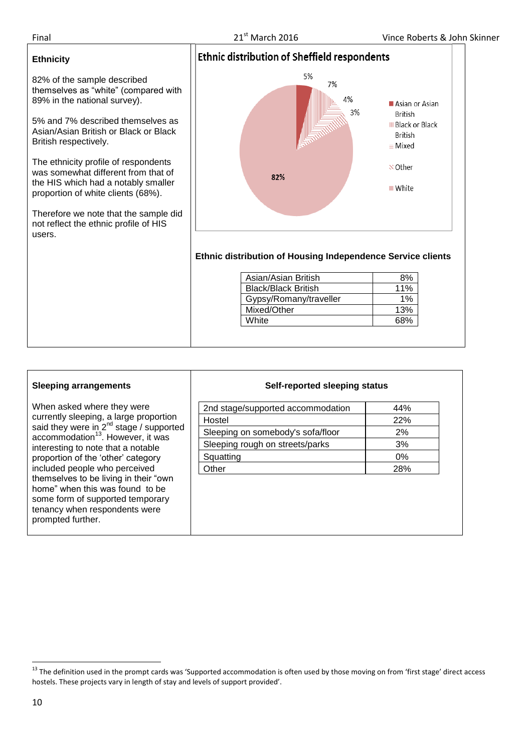#### **Ethnicity**

82% of the sample described themselves as "white" (compared with 89% in the national survey).

5% and 7% described themselves as Asian/Asian British or Black or Black British respectively.

The ethnicity profile of respondents was somewhat different from that of the HIS which had a notably smaller proportion of white clients (68%).

Therefore we note that the sample did not reflect the ethnic profile of HIS users.



#### **Ethnic distribution of Housing Independence Service clients**

| Asian/Asian British        | ጸ%    |
|----------------------------|-------|
| <b>Black/Black British</b> | 11%   |
| Gypsy/Romany/traveller     | $1\%$ |
| Mixed/Other                | 13%   |
| White                      |       |

| <b>Sleeping arrangements</b>                                                                                                                                                                                                                                                                                                                                                                                                        | Self-reported sleeping status                                                                                                             |                                        |
|-------------------------------------------------------------------------------------------------------------------------------------------------------------------------------------------------------------------------------------------------------------------------------------------------------------------------------------------------------------------------------------------------------------------------------------|-------------------------------------------------------------------------------------------------------------------------------------------|----------------------------------------|
| When asked where they were<br>currently sleeping, a large proportion<br>said they were in $2^{nd}$ stage / supported<br>accommodation <sup>13</sup> . However, it was<br>interesting to note that a notable<br>proportion of the 'other' category<br>included people who perceived<br>themselves to be living in their "own<br>home" when this was found to be<br>some form of supported temporary<br>tenancy when respondents were | 2nd stage/supported accommodation<br>Hostel<br>Sleeping on somebody's sofa/floor<br>Sleeping rough on streets/parks<br>Squatting<br>Other | 44%<br>22%<br>2%<br>3%<br>$0\%$<br>28% |
| prompted further.                                                                                                                                                                                                                                                                                                                                                                                                                   |                                                                                                                                           |                                        |

**.** 

<sup>&</sup>lt;sup>13</sup> The definition used in the prompt cards was 'Supported accommodation is often used by those moving on from 'first stage' direct access hostels. These projects vary in length of stay and levels of support provided'.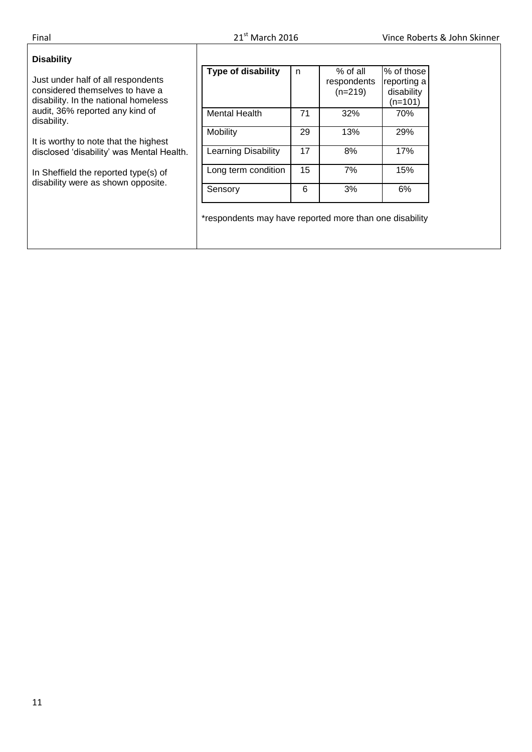#### **Disability**

Just under half of all respondents considered themselves to have a disability. In the national homeless audit, 36% reported any kind of disability.

It is worthy to note that the highest disclosed 'disability' was Mental Health.

In Sheffield the reported type(s) of disability were as shown opposite.

| <b>Type of disability</b>  | n  | $%$ of all<br>respondents<br>$(n=219)$ | % of those<br>reporting a<br>disability<br>$(n=101)$ |
|----------------------------|----|----------------------------------------|------------------------------------------------------|
| <b>Mental Health</b>       | 71 | 32%                                    | 70%                                                  |
| <b>Mobility</b>            | 29 | 13%                                    | 29%                                                  |
| <b>Learning Disability</b> | 17 | 8%                                     | 17%                                                  |
| Long term condition        | 15 | 7%                                     | 15%                                                  |
| Sensory                    | 6  | 3%                                     | 6%                                                   |

\*respondents may have reported more than one disability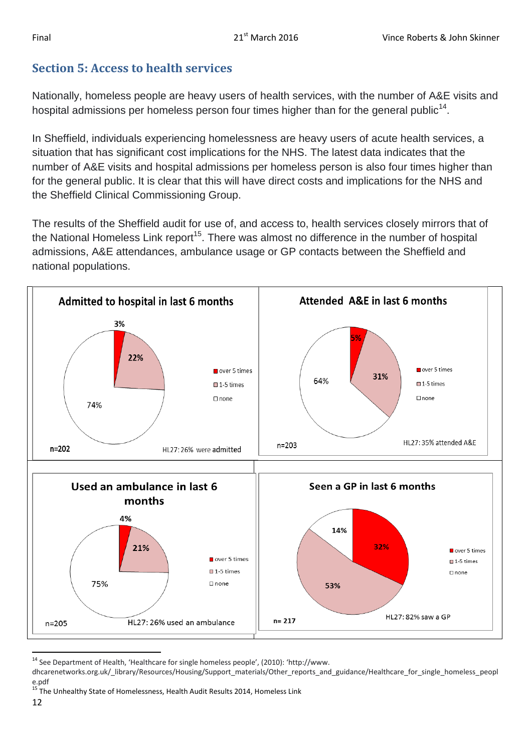### <span id="page-12-0"></span>**Section 5: Access to health services**

Nationally, homeless people are heavy users of health services, with the number of A&E visits and hospital admissions per homeless person four times higher than for the general public<sup>14</sup>.

In Sheffield, individuals experiencing homelessness are heavy users of acute health services, a situation that has significant cost implications for the NHS. The latest data indicates that the number of A&E visits and hospital admissions per homeless person is also four times higher than for the general public. It is clear that this will have direct costs and implications for the NHS and the Sheffield Clinical Commissioning Group.

The results of the Sheffield audit for use of, and access to, health services closely mirrors that of the National Homeless Link report<sup>15</sup>. There was almost no difference in the number of hospital admissions, A&E attendances, ambulance usage or GP contacts between the Sheffield and national populations.



<sup>&</sup>lt;sup>14</sup> See Department of Health, 'Healthcare for single homeless people', (2010): 'http://www.

dhcarenetworks.org.uk/ library/Resources/Housing/Support\_materials/Other\_reports\_and\_guidance/Healthcare\_for\_single\_homeless\_peopl e.pdf

 $15$  The Unhealthy State of Homelessness, Health Audit Results 2014, Homeless Link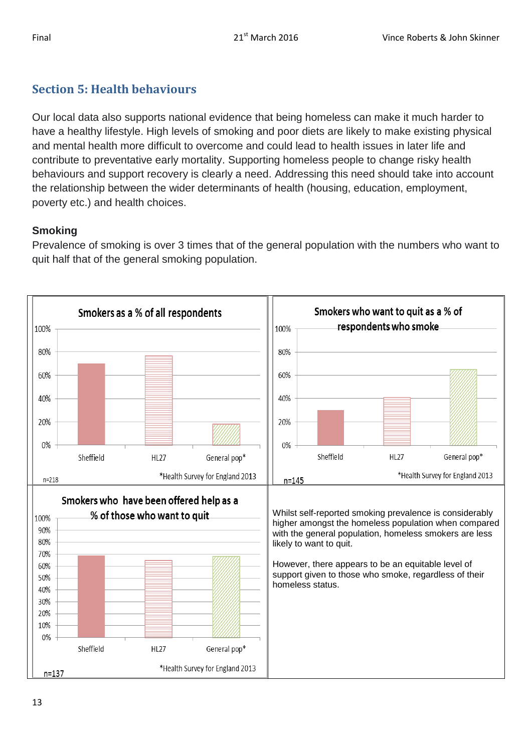### <span id="page-13-0"></span>**Section 5: Health behaviours**

Our local data also supports national evidence that being homeless can make it much harder to have a healthy lifestyle. High levels of smoking and poor diets are likely to make existing physical and mental health more difficult to overcome and could lead to health issues in later life and contribute to preventative early mortality. Supporting homeless people to change risky health behaviours and support recovery is clearly a need. Addressing this need should take into account the relationship between the wider determinants of health (housing, education, employment, poverty etc.) and health choices.

#### **Smoking**

Prevalence of smoking is over 3 times that of the general population with the numbers who want to quit half that of the general smoking population.

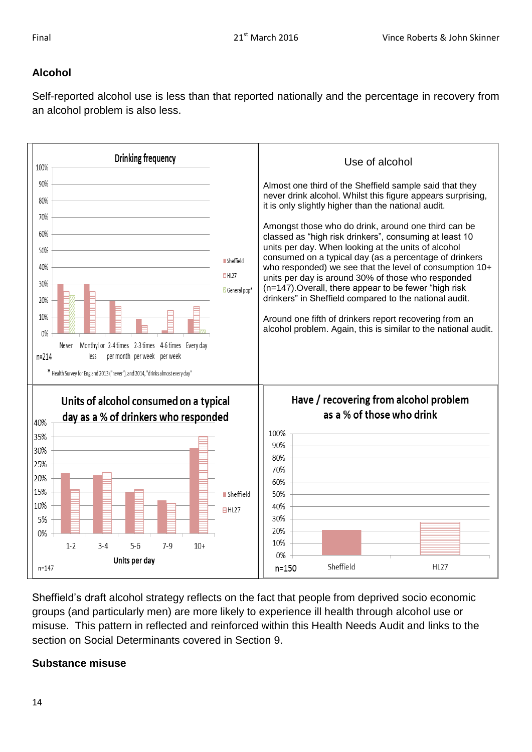#### **Alcohol**

Self-reported alcohol use is less than that reported nationally and the percentage in recovery from an alcohol problem is also less.



Sheffield's draft alcohol strategy reflects on the fact that people from deprived socio economic groups (and particularly men) are more likely to experience ill health through alcohol use or misuse. This pattern in reflected and reinforced within this Health Needs Audit and links to the section on Social Determinants covered in Section 9.

#### **Substance misuse**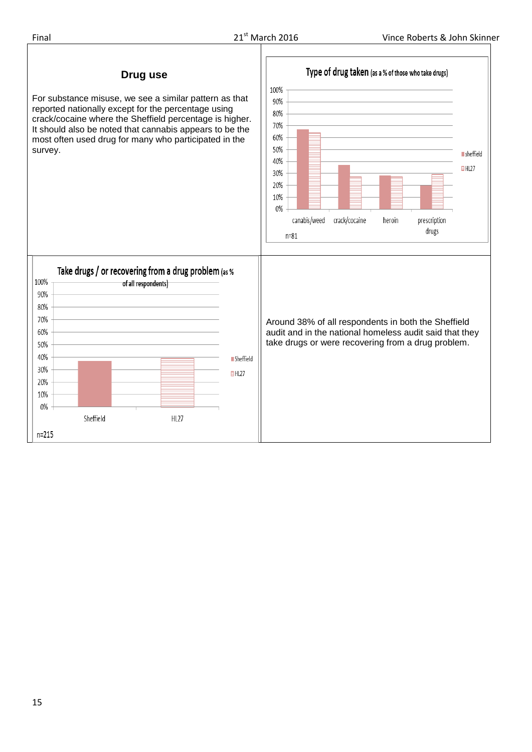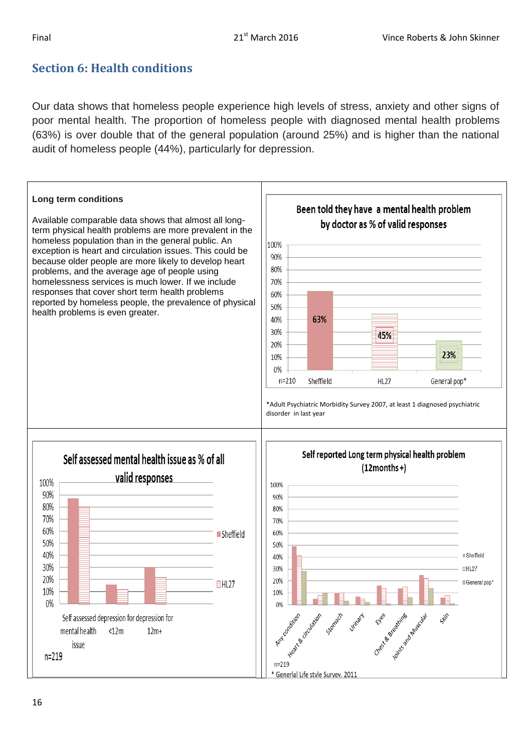### <span id="page-16-0"></span>**Section 6: Health conditions**

Our data shows that homeless people experience high levels of stress, anxiety and other signs of poor mental health. The proportion of homeless people with diagnosed mental health problems (63%) is over double that of the general population (around 25%) and is higher than the national audit of homeless people (44%), particularly for depression.

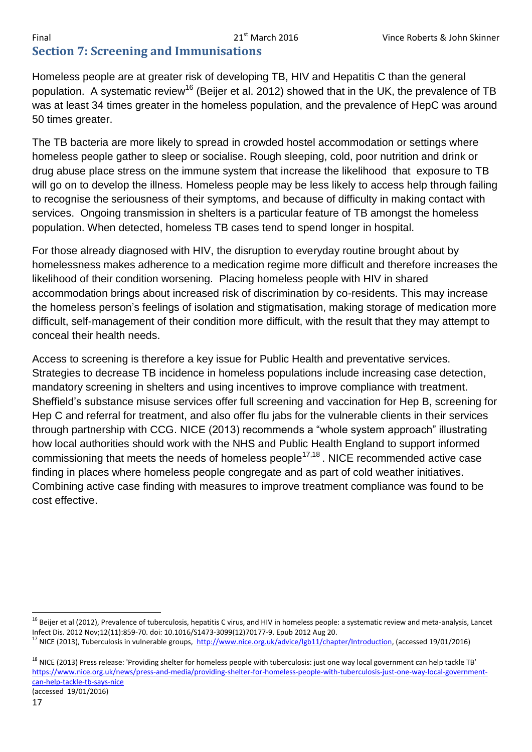## <span id="page-17-0"></span>**Section 7: Screening and Immunisations**

Homeless people are at greater risk of developing TB, HIV and Hepatitis C than the general population. A systematic review<sup>16</sup> (Beijer et al. 2012) showed that in the UK, the prevalence of TB was at least 34 times greater in the homeless population, and the prevalence of HepC was around 50 times greater.

The TB bacteria are more likely to spread in crowded hostel accommodation or settings where homeless people gather to sleep or socialise. Rough sleeping, cold, poor nutrition and drink or drug abuse place stress on the immune system that increase the likelihood that exposure to TB will go on to develop the illness. Homeless people may be less likely to access help through failing to recognise the seriousness of their symptoms, and because of difficulty in making contact with services. Ongoing transmission in shelters is a particular feature of TB amongst the homeless population. When detected, homeless TB cases tend to spend longer in hospital.

For those already diagnosed with HIV, the disruption to everyday routine brought about by homelessness makes adherence to a medication regime more difficult and therefore increases the likelihood of their condition worsening. Placing homeless people with HIV in shared accommodation brings about increased risk of discrimination by co-residents. This may increase the homeless person's feelings of isolation and stigmatisation, making storage of medication more difficult, self-management of their condition more difficult, with the result that they may attempt to conceal their health needs.

Access to screening is therefore a key issue for Public Health and preventative services. Strategies to decrease TB incidence in homeless populations include increasing case detection, mandatory screening in shelters and using incentives to improve compliance with treatment. Sheffield's substance misuse services offer full screening and vaccination for Hep B, screening for Hep C and referral for treatment, and also offer flu jabs for the vulnerable clients in their services through partnership with CCG. NICE (2013) recommends a "whole system approach" illustrating how local authorities should work with the NHS and Public Health England to support informed commissioning that meets the needs of homeless people<sup>17,18</sup>. NICE recommended active case finding in places where homeless people congregate and as part of cold weather initiatives. Combining active case finding with measures to improve treatment compliance was found to be cost effective.

<sup>1</sup> <sup>16</sup> Beijer et al (2012), Prevalence of tuberculosis, hepatitis C virus, and HIV in homeless people: a systematic review and meta-analysis, Lancet Infect Dis. 2012 Nov;12(11):859-70. doi: 10.1016/S1473-3099(12)70177-9. Epub 2012 Aug 20.

<sup>&</sup>lt;sup>17</sup> NICE (2013), Tuberculosis in vulnerable groups, [http://www.nice.org.uk/advice/lgb11/chapter/Introduction,](http://www.nice.org.uk/advice/lgb11/chapter/Introduction) (accessed 19/01/2016)

<sup>&</sup>lt;sup>18</sup> NICE (2013) Press release: 'Providing shelter for homeless people with tuberculosis: just one way local government can help tackle TB' [https://www.nice.org.uk/news/press-and-media/providing-shelter-for-homeless-people-with-tuberculosis-just-one-way-local-government](https://www.nice.org.uk/news/press-and-media/providing-shelter-for-homeless-people-with-tuberculosis-just-one-way-local-government-can-help-tackle-tb-says-nice)[can-help-tackle-tb-says-nice](https://www.nice.org.uk/news/press-and-media/providing-shelter-for-homeless-people-with-tuberculosis-just-one-way-local-government-can-help-tackle-tb-says-nice)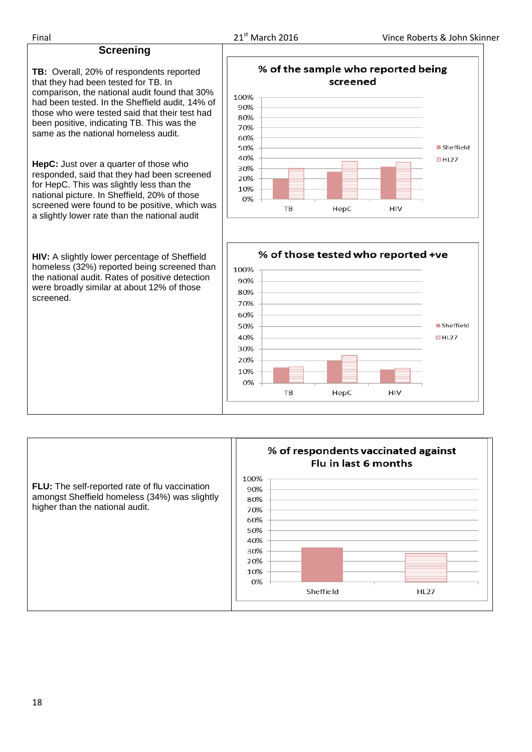#### **Screening**

**TB:** Overall, 20% of respondents reported that they had been tested for TB. In comparison, the national audit found that 30% had been tested. In the Sheffield audit, 14% of those who were tested said that their test had been positive, indicating TB. This was the same as the national homeless audit.

**HepC:** Just over a quarter of those who responded, said that they had been screened for HepC. This was slightly less than the national picture. In Sheffield, 20% of those screened were found to be positive, which was a slightly lower rate than the national audit

**HIV:** A slightly lower percentage of Sheffield homeless (32%) reported being screened than the national audit. Rates of positive detection were broadly similar at about 12% of those screened.

% of the sample who reported being screened 100% 90% 80% 70% 60% 50%  $\blacksquare$  Sheffield 40% **EHI27** 30% 20% 10% 0% TB HepC **HIV** 



% of respondents vaccinated against Flu in last 6 months 100% **FLU:** The self-reported rate of flu vaccination 90% amongst Sheffield homeless (34%) was slightly 80% higher than the national audit.70% 60% 50% 40% 30% 20% 10% 0% Sheffield **HL27**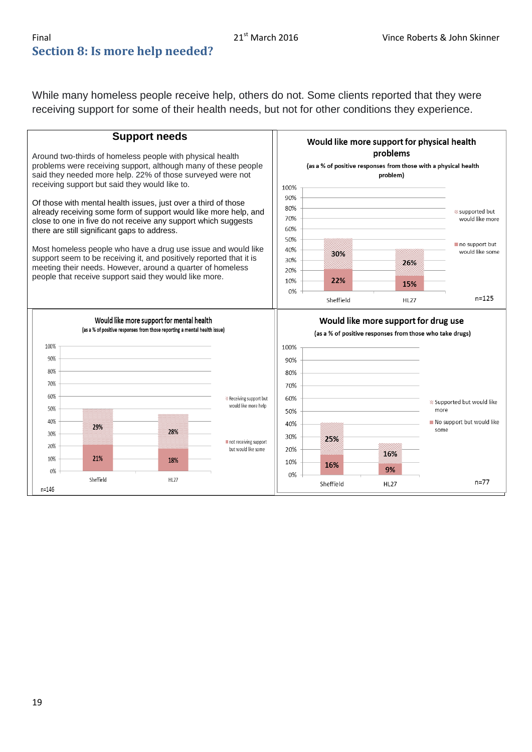# <span id="page-19-0"></span>**Section 8: Is more help needed?**

While many homeless people receive help, others do not. Some clients reported that they were receiving support for some of their health needs, but not for other conditions they experience.

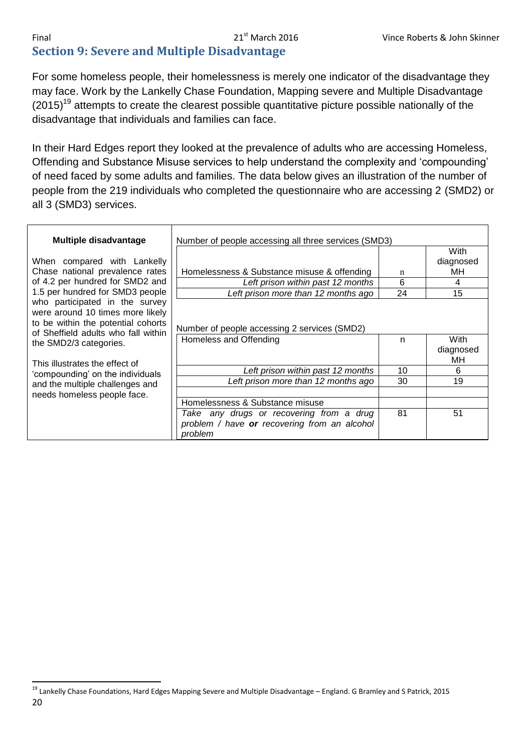#### <span id="page-20-0"></span>Final 21st March 2016 Vince Roberts & John Skinner **Section 9: Severe and Multiple Disadvantage**

For some homeless people, their homelessness is merely one indicator of the disadvantage they may face. Work by the Lankelly Chase Foundation, Mapping severe and Multiple Disadvantage  $(2015)^{19}$  attempts to create the clearest possible quantitative picture possible nationally of the disadvantage that individuals and families can face.

In their Hard Edges report they looked at the prevalence of adults who are accessing Homeless, Offending and Substance Misuse services to help understand the complexity and 'compounding' of need faced by some adults and families. The data below gives an illustration of the number of people from the 219 individuals who completed the questionnaire who are accessing 2 (SMD2) or all 3 (SMD3) services.

| <b>Multiple disadvantage</b>                                                                                                                    | Number of people accessing all three services (SMD3)                                                |    |                         |
|-------------------------------------------------------------------------------------------------------------------------------------------------|-----------------------------------------------------------------------------------------------------|----|-------------------------|
| When compared with Lankelly<br>Chase national prevalence rates                                                                                  | Homelessness & Substance misuse & offending                                                         | n  | With<br>diagnosed<br>MН |
| of 4.2 per hundred for SMD2 and                                                                                                                 | Left prison within past 12 months                                                                   | 6  | 4                       |
| 1.5 per hundred for SMD3 people                                                                                                                 | Left prison more than 12 months ago                                                                 | 24 | 15                      |
| who participated in the survey<br>were around 10 times more likely<br>to be within the potential cohorts<br>of Sheffield adults who fall within | Number of people accessing 2 services (SMD2)                                                        |    |                         |
| the SMD2/3 categories.<br>This illustrates the effect of                                                                                        | Homeless and Offending                                                                              | n  | With<br>diagnosed<br>MН |
| 'compounding' on the individuals                                                                                                                | Left prison within past 12 months                                                                   | 10 | 6                       |
| and the multiple challenges and                                                                                                                 | Left prison more than 12 months ago                                                                 | 30 | 19                      |
| needs homeless people face.                                                                                                                     |                                                                                                     |    |                         |
|                                                                                                                                                 | Homelessness & Substance misuse                                                                     |    |                         |
|                                                                                                                                                 | Take any drugs or recovering from a drug<br>problem / have or recovering from an alcohol<br>problem | 81 | 51                      |

<sup>20</sup> 1 <sup>19</sup> Lankelly Chase Foundations, Hard Edges Mapping Severe and Multiple Disadvantage – England. G Bramley and S Patrick, 2015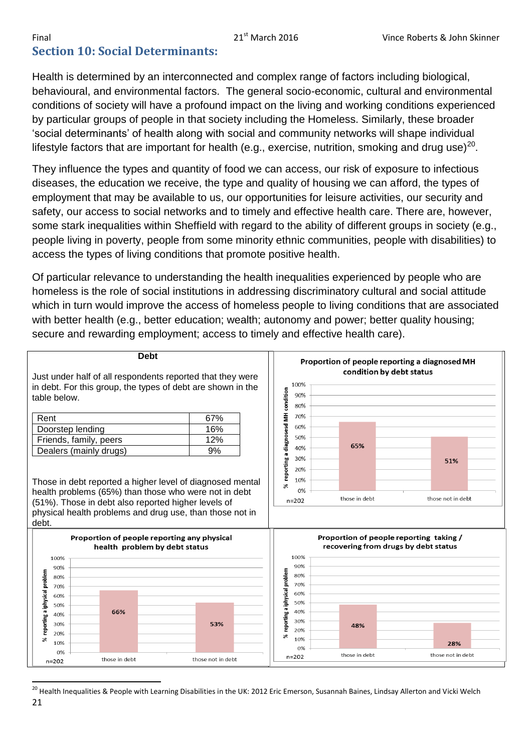### <span id="page-21-0"></span>**Section 10: Social Determinants:**

Health is determined by an interconnected and complex range of factors including biological, behavioural, and environmental factors. The general socio-economic, cultural and environmental conditions of society will have a profound impact on the living and working conditions experienced by particular groups of people in that society including the Homeless. Similarly, these broader 'social determinants' of health along with social and community networks will shape individual lifestyle factors that are important for health (e.g., exercise, nutrition, smoking and drug use)<sup>20</sup>.

They influence the types and quantity of food we can access, our risk of exposure to infectious diseases, the education we receive, the type and quality of housing we can afford, the types of employment that may be available to us, our opportunities for leisure activities, our security and safety, our access to social networks and to timely and effective health care. There are, however, some stark inequalities within Sheffield with regard to the ability of different groups in society (e.g., people living in poverty, people from some minority ethnic communities, people with disabilities) to access the types of living conditions that promote positive health.

Of particular relevance to understanding the health inequalities experienced by people who are homeless is the role of social institutions in addressing discriminatory cultural and social attitude which in turn would improve the access of homeless people to living conditions that are associated with better health (e.g., better education; wealth; autonomy and power; better quality housing; secure and rewarding employment; access to timely and effective health care).



<sup>21</sup> 1 <sup>20</sup> Health Inequalities & People with Learning Disabilities in the UK: 2012 Eric Emerson, Susannah Baines, Lindsay Allerton and Vicki Welch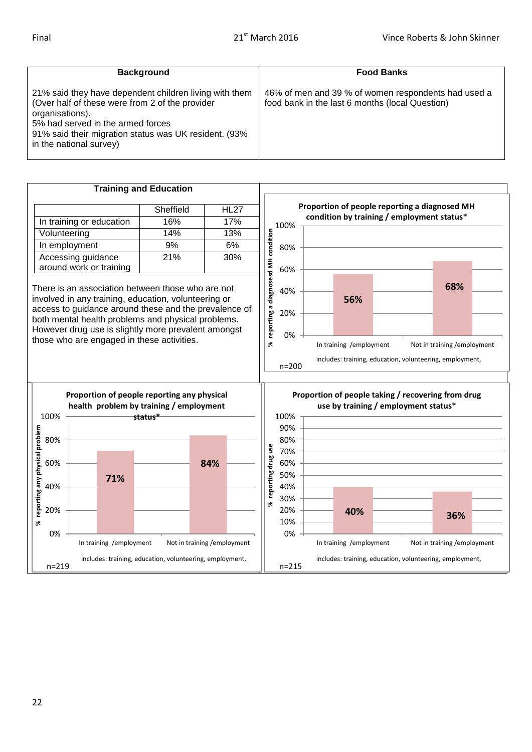| <b>Background</b>                                                                                                                                                                                                                                     | <b>Food Banks</b>                                                                                      |
|-------------------------------------------------------------------------------------------------------------------------------------------------------------------------------------------------------------------------------------------------------|--------------------------------------------------------------------------------------------------------|
| 21% said they have dependent children living with them<br>(Over half of these were from 2 of the provider<br>organisations).<br>5% had served in the armed forces<br>91% said their migration status was UK resident. (93%<br>in the national survey) | 46% of men and 39 % of women respondents had used a<br>food bank in the last 6 months (local Question) |

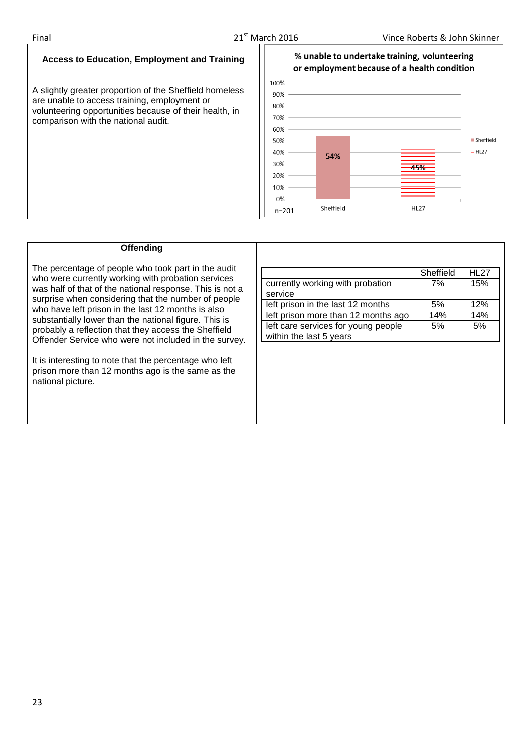#### **Access to Education, Employment and Training**

A slightly greater proportion of the Sheffield homeless are unable to access training, employment or volunteering opportunities because of their health, in comparison with the national audit.



#### **Offending**

The percentage of people who took part in the audit who were currently working with probation services was half of that of the national response. This is not a surprise when considering that the number of people who have left prison in the last 12 months is also substantially lower than the national figure. This is probably a reflection that they access the Sheffield Offender Service who were not included in the survey.

It is interesting to note that the percentage who left prison more than 12 months ago is the same as the national picture.

| currently working with probation<br>7%<br>15%<br>service<br>left prison in the last 12 months<br>12%<br>5%<br>left prison more than 12 months ago<br>14%<br>14%<br>left care services for young people<br>5%<br>5%<br>within the last 5 years | HL 27     |
|-----------------------------------------------------------------------------------------------------------------------------------------------------------------------------------------------------------------------------------------------|-----------|
|                                                                                                                                                                                                                                               |           |
|                                                                                                                                                                                                                                               |           |
|                                                                                                                                                                                                                                               |           |
|                                                                                                                                                                                                                                               |           |
|                                                                                                                                                                                                                                               |           |
|                                                                                                                                                                                                                                               | Sheffield |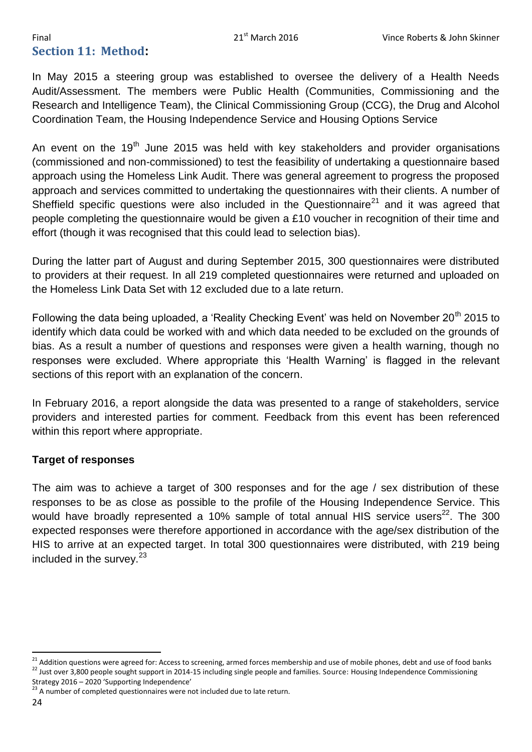# <span id="page-24-0"></span>**Section 11: Method:**

In May 2015 a steering group was established to oversee the delivery of a Health Needs Audit/Assessment. The members were Public Health (Communities, Commissioning and the Research and Intelligence Team), the Clinical Commissioning Group (CCG), the Drug and Alcohol Coordination Team, the Housing Independence Service and Housing Options Service

An event on the 19<sup>th</sup> June 2015 was held with key stakeholders and provider organisations (commissioned and non-commissioned) to test the feasibility of undertaking a questionnaire based approach using the Homeless Link Audit. There was general agreement to progress the proposed approach and services committed to undertaking the questionnaires with their clients. A number of Sheffield specific questions were also included in the Questionnaire<sup>21</sup> and it was agreed that people completing the questionnaire would be given a £10 voucher in recognition of their time and effort (though it was recognised that this could lead to selection bias).

During the latter part of August and during September 2015, 300 questionnaires were distributed to providers at their request. In all 219 completed questionnaires were returned and uploaded on the Homeless Link Data Set with 12 excluded due to a late return.

Following the data being uploaded, a 'Reality Checking Event' was held on November 20<sup>th</sup> 2015 to identify which data could be worked with and which data needed to be excluded on the grounds of bias. As a result a number of questions and responses were given a health warning, though no responses were excluded. Where appropriate this 'Health Warning' is flagged in the relevant sections of this report with an explanation of the concern.

In February 2016, a report alongside the data was presented to a range of stakeholders, service providers and interested parties for comment. Feedback from this event has been referenced within this report where appropriate.

#### **Target of responses**

The aim was to achieve a target of 300 responses and for the age / sex distribution of these responses to be as close as possible to the profile of the Housing Independence Service. This would have broadly represented a 10% sample of total annual HIS service users $^{22}$ . The 300 expected responses were therefore apportioned in accordance with the age/sex distribution of the HIS to arrive at an expected target. In total 300 questionnaires were distributed, with 219 being included in the survey. $23$ 

1

<sup>&</sup>lt;sup>21</sup> Addition questions were agreed for: Access to screening, armed forces membership and use of mobile phones, debt and use of food banks 22 Just over 3,800 people sought support in 2014-15 including single people and families. Source: Housing Independence Commissioning Strategy 2016 – 2020 'Supporting Independence'

<sup>&</sup>lt;sup>23</sup> A number of completed questionnaires were not included due to late return.